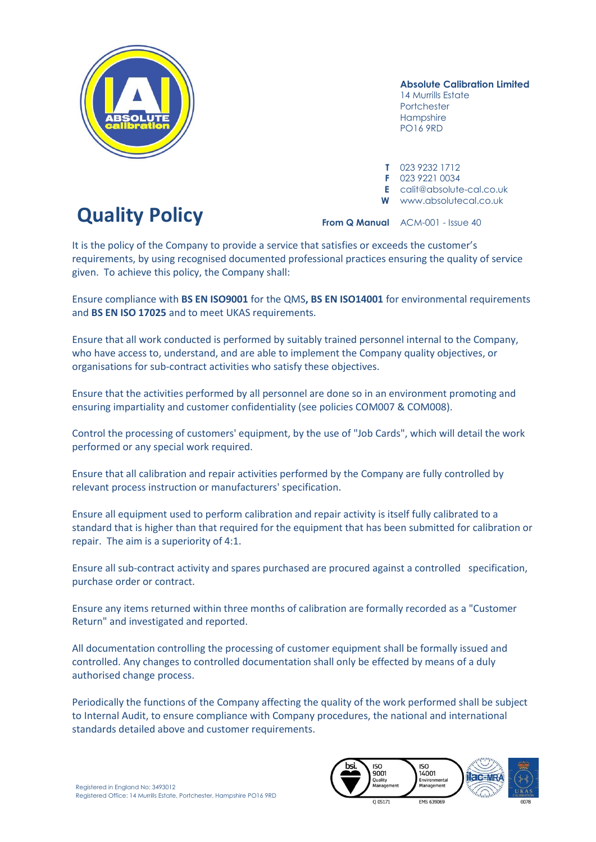

**Absolute Calibration Limited**

14 Murrills Estate Portchester **Hampshire** PO16 9RD

**T** 023 9232 1712 **F** 023 9221 0034 **E** calit@absolute-cal.co.uk **W** www.absolutecal.co.uk

**From Q Manual** ACM-001 - Issue 40

It is the policy of the Company to provide a service that satisfies or exceeds the customer's requirements, by using recognised documented professional practices ensuring the quality of service given. To achieve this policy, the Company shall:

Ensure compliance with **BS EN ISO9001** for the QMS**, BS EN ISO14001** for environmental requirements and **BS EN ISO 17025** and to meet UKAS requirements.

Ensure that all work conducted is performed by suitably trained personnel internal to the Company, who have access to, understand, and are able to implement the Company quality objectives, or organisations for sub-contract activities who satisfy these objectives.

Ensure that the activities performed by all personnel are done so in an environment promoting and ensuring impartiality and customer confidentiality (see policies COM007 & COM008).

Control the processing of customers' equipment, by the use of "Job Cards", which will detail the work performed or any special work required.

Ensure that all calibration and repair activities performed by the Company are fully controlled by relevant process instruction or manufacturers' specification.

Ensure all equipment used to perform calibration and repair activity is itself fully calibrated to a standard that is higher than that required for the equipment that has been submitted for calibration or repair. The aim is a superiority of 4:1.

Ensure all sub-contract activity and spares purchased are procured against a controlled specification, purchase order or contract.

Ensure any items returned within three months of calibration are formally recorded as a "Customer Return" and investigated and reported.

All documentation controlling the processing of customer equipment shall be formally issued and controlled. Any changes to controlled documentation shall only be effected by means of a duly authorised change process.

Periodically the functions of the Company affecting the quality of the work performed shall be subject to Internal Audit, to ensure compliance with Company procedures, the national and international standards detailed above and customer requirements.



## **Quality Policy**

Registered in England No: 3493012 Registered Office: 14 Murrills Estate, Portchester, Hampshire PO16 9RD